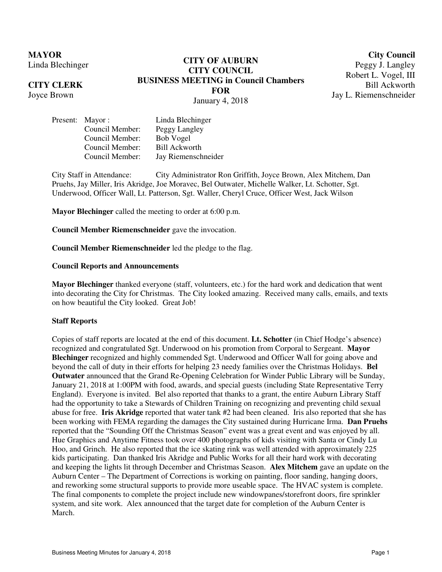**MAYOR** Linda Blechinger

**CITY CLERK** Joyce Brown

# **CITY OF AUBURN CITY COUNCIL BUSINESS MEETING in Council Chambers FOR**  January 4, 2018

**City Council**

Peggy J. Langley Robert L. Vogel, III Bill Ackworth Jay L. Riemenschneider

Present: Mayor : Linda Blechinger Council Member: Peggy Langley Council Member: Bob Vogel Council Member: Bill Ackworth Council Member: Jay Riemenschneider

City Staff in Attendance: City Administrator Ron Griffith, Joyce Brown, Alex Mitchem, Dan Pruehs, Jay Miller, Iris Akridge, Joe Moravec, Bel Outwater, Michelle Walker, Lt. Schotter, Sgt. Underwood, Officer Wall, Lt. Patterson, Sgt. Waller, Cheryl Cruce, Officer West, Jack Wilson

**Mayor Blechinger** called the meeting to order at 6:00 p.m.

**Council Member Riemenschneider** gave the invocation.

**Council Member Riemenschneider** led the pledge to the flag.

# **Council Reports and Announcements**

**Mayor Blechinger** thanked everyone (staff, volunteers, etc.) for the hard work and dedication that went into decorating the City for Christmas. The City looked amazing. Received many calls, emails, and texts on how beautiful the City looked. Great Job!

#### **Staff Reports**

Copies of staff reports are located at the end of this document. **Lt. Schotter** (in Chief Hodge's absence) recognized and congratulated Sgt. Underwood on his promotion from Corporal to Sergeant. **Mayor Blechinger** recognized and highly commended Sgt. Underwood and Officer Wall for going above and beyond the call of duty in their efforts for helping 23 needy families over the Christmas Holidays. **Bel Outwater** announced that the Grand Re-Opening Celebration for Winder Public Library will be Sunday, January 21, 2018 at 1:00PM with food, awards, and special guests (including State Representative Terry England). Everyone is invited. Bel also reported that thanks to a grant, the entire Auburn Library Staff had the opportunity to take a Stewards of Children Training on recognizing and preventing child sexual abuse for free. **Iris Akridge** reported that water tank #2 had been cleaned. Iris also reported that she has been working with FEMA regarding the damages the City sustained during Hurricane Irma. **Dan Pruehs**  reported that the "Sounding Off the Christmas Season" event was a great event and was enjoyed by all. Hue Graphics and Anytime Fitness took over 400 photographs of kids visiting with Santa or Cindy Lu Hoo, and Grinch. He also reported that the ice skating rink was well attended with approximately 225 kids participating. Dan thanked Iris Akridge and Public Works for all their hard work with decorating and keeping the lights lit through December and Christmas Season. **Alex Mitchem** gave an update on the Auburn Center – The Department of Corrections is working on painting, floor sanding, hanging doors, and reworking some structural supports to provide more useable space. The HVAC system is complete. The final components to complete the project include new windowpanes/storefront doors, fire sprinkler system, and site work. Alex announced that the target date for completion of the Auburn Center is March.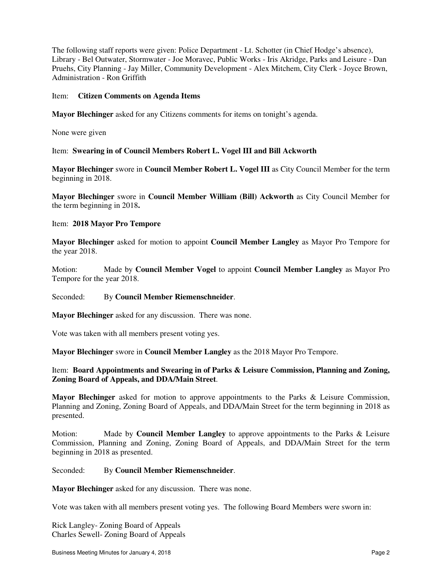The following staff reports were given: Police Department - Lt. Schotter (in Chief Hodge's absence), Library - Bel Outwater, Stormwater - Joe Moravec, Public Works - Iris Akridge, Parks and Leisure - Dan Pruehs, City Planning - Jay Miller, Community Development - Alex Mitchem, City Clerk - Joyce Brown, Administration - Ron Griffith

## Item: **Citizen Comments on Agenda Items**

**Mayor Blechinger** asked for any Citizens comments for items on tonight's agenda.

None were given

Item: **Swearing in of Council Members Robert L. Vogel III and Bill Ackworth** 

**Mayor Blechinger** swore in **Council Member Robert L. Vogel III** as City Council Member for the term beginning in 2018.

**Mayor Blechinger** swore in **Council Member William (Bill) Ackworth** as City Council Member for the term beginning in 2018**.** 

# Item: **2018 Mayor Pro Tempore**

**Mayor Blechinger** asked for motion to appoint **Council Member Langley** as Mayor Pro Tempore for the year 2018.

Motion: Made by **Council Member Vogel** to appoint **Council Member Langley** as Mayor Pro Tempore for the year 2018.

#### Seconded: By **Council Member Riemenschneider**.

**Mayor Blechinger** asked for any discussion. There was none.

Vote was taken with all members present voting yes.

**Mayor Blechinger** swore in **Council Member Langley** as the 2018 Mayor Pro Tempore.

# Item: **Board Appointments and Swearing in of Parks & Leisure Commission, Planning and Zoning, Zoning Board of Appeals, and DDA/Main Street**.

**Mayor Blechinger** asked for motion to approve appointments to the Parks & Leisure Commission, Planning and Zoning, Zoning Board of Appeals, and DDA/Main Street for the term beginning in 2018 as presented.

Motion: Made by **Council Member Langley** to approve appointments to the Parks & Leisure Commission, Planning and Zoning, Zoning Board of Appeals, and DDA/Main Street for the term beginning in 2018 as presented.

#### Seconded: By **Council Member Riemenschneider**.

**Mayor Blechinger** asked for any discussion. There was none.

Vote was taken with all members present voting yes. The following Board Members were sworn in:

Rick Langley- Zoning Board of Appeals Charles Sewell- Zoning Board of Appeals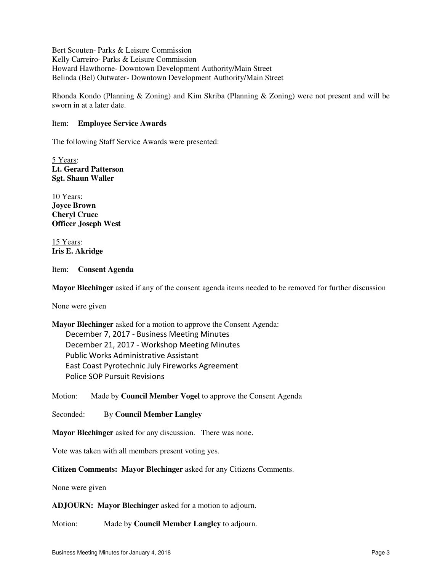Bert Scouten- Parks & Leisure Commission Kelly Carreiro- Parks & Leisure Commission Howard Hawthorne- Downtown Development Authority/Main Street Belinda (Bel) Outwater- Downtown Development Authority/Main Street

Rhonda Kondo (Planning & Zoning) and Kim Skriba (Planning & Zoning) were not present and will be sworn in at a later date.

## Item: **Employee Service Awards**

The following Staff Service Awards were presented:

5 Years: **Lt. Gerard Patterson Sgt. Shaun Waller** 

10 Years: **Joyce Brown Cheryl Cruce Officer Joseph West**

15 Years: **Iris E. Akridge**

#### Item: **Consent Agenda**

**Mayor Blechinger** asked if any of the consent agenda items needed to be removed for further discussion

None were given

**Mayor Blechinger** asked for a motion to approve the Consent Agenda: December 7, 2017 - Business Meeting Minutes December 21, 2017 - Workshop Meeting Minutes Public Works Administrative Assistant East Coast Pyrotechnic July Fireworks Agreement Police SOP Pursuit Revisions

Motion: Made by **Council Member Vogel** to approve the Consent Agenda

Seconded: By **Council Member Langley**

**Mayor Blechinger** asked for any discussion. There was none.

Vote was taken with all members present voting yes.

**Citizen Comments: Mayor Blechinger** asked for any Citizens Comments.

None were given

**ADJOURN: Mayor Blechinger** asked for a motion to adjourn.

Motion: Made by **Council Member Langley** to adjourn.